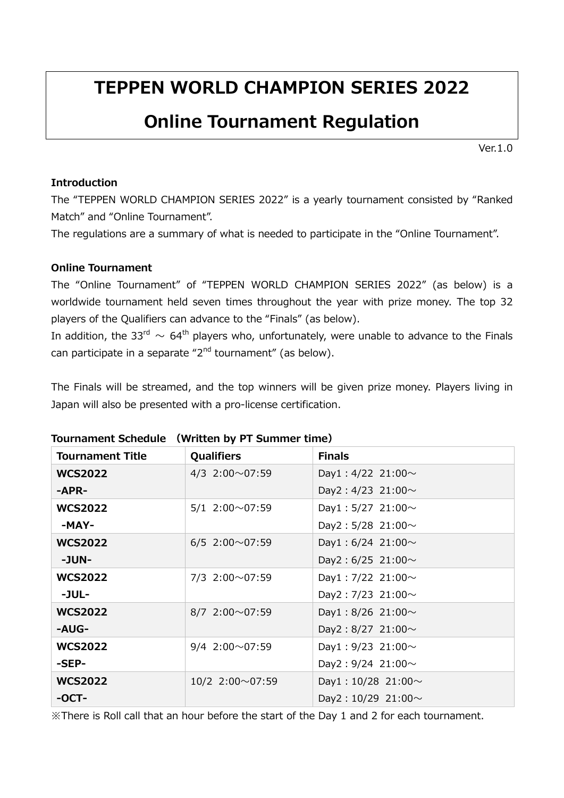# **TEPPEN WORLD CHAMPION SERIES 2022**

## **Online Tournament Regulation**

Ver.1.0

#### **Introduction**

The "TEPPEN WORLD CHAMPION SERIES 2022" is a yearly tournament consisted by "Ranked Match" and "Online Tournament".

The regulations are a summary of what is needed to participate in the "Online Tournament".

#### **Online Tournament**

The "Online Tournament" of "TEPPEN WORLD CHAMPION SERIES 2022" (as below) is a worldwide tournament held seven times throughout the year with prize money. The top 32 players of the Qualifiers can advance to the "Finals" (as below).

In addition, the 33<sup>rd</sup>  $\sim$  64<sup>th</sup> players who, unfortunately, were unable to advance to the Finals can participate in a separate "2<sup>nd</sup> tournament" (as below).

The Finals will be streamed, and the top winners will be given prize money. Players living in Japan will also be presented with a pro-license certification.

| <b>Tournament Title</b> | <b>Qualifiers</b>       | <b>Finals</b>              |
|-------------------------|-------------------------|----------------------------|
| <b>WCS2022</b>          | 4/3 2:00~07:59          | Day1: $4/22$ 21:00 ~       |
| $-APR-$                 |                         | Day2: $4/23$ 21:00 ~       |
| <b>WCS2022</b>          | $5/1$ 2:00 $\sim$ 07:59 | Day1: $5/27$ 21:00 ~       |
| -MAY-                   |                         | Day2: $5/28$ 21:00 ~       |
| <b>WCS2022</b>          | $6/5$ 2:00 $\sim$ 07:59 | Day1: $6/24$ 21:00 ~       |
| -JUN-                   |                         | Day2: $6/25$ 21:00 ~       |
| <b>WCS2022</b>          | 7/3 2:00 $\sim$ 07:59   | Day1: 7/22 21:00 $\sim$    |
| -JUL-                   |                         | Day2: 7/23 21:00 $\sim$    |
| <b>WCS2022</b>          | $8/7$ 2:00 $\sim$ 07:59 | Day1:8/26 21:00 $\sim$     |
| -AUG-                   |                         | Day2: $8/27$ 21:00 ~       |
| <b>WCS2022</b>          | $9/4$ 2:00 $\sim$ 07:59 | Day1: $9/23$ 21:00 ~       |
| -SEP-                   |                         | Day2: $9/24$ 21:00 ~       |
| <b>WCS2022</b>          | $10/2$ 2:00~07:59       | Day1: $10/28$ 21:00 $\sim$ |
| $-OCT -$                |                         | Day2: $10/29$ 21:00 $\sim$ |

#### **Tournament Schedule (Written by PT Summer time)**

※There is Roll call that an hour before the start of the Day 1 and 2 for each tournament.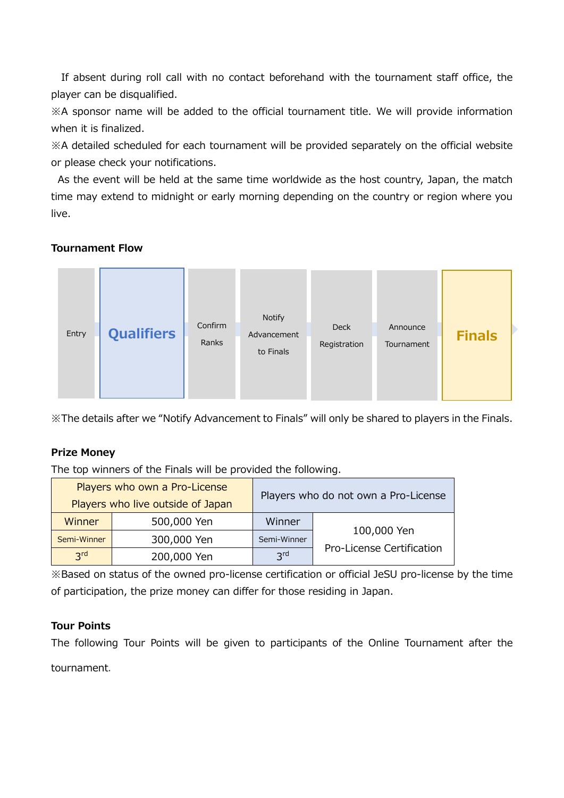If absent during roll call with no contact beforehand with the tournament staff office, the player can be disqualified.

※A sponsor name will be added to the official tournament title. We will provide information when it is finalized.

※A detailed scheduled for each tournament will be provided separately on the official website or please check your notifications.

As the event will be held at the same time worldwide as the host country, Japan, the match time may extend to midnight or early morning depending on the country or region where you live.

## **Tournament Flow**



※The details after we "Notify Advancement to Finals" will only be shared to players in the Finals.

## **Prize Money**

The top winners of the Finals will be provided the following.

| Players who own a Pro-License<br>Players who live outside of Japan |             |                 | Players who do not own a Pro-License     |
|--------------------------------------------------------------------|-------------|-----------------|------------------------------------------|
| Winner                                                             | 500,000 Yen | Winner          |                                          |
| Semi-Winner                                                        | 300,000 Yen | Semi-Winner     | 100,000 Yen<br>Pro-License Certification |
| 2rd                                                                | 200,000 Yen | $2^{\text{rd}}$ |                                          |

※Based on status of the owned pro-license certification or official JeSU pro-license by the time of participation, the prize money can differ for those residing in Japan.

## **Tour Points**

The following Tour Points will be given to participants of the Online Tournament after the tournament.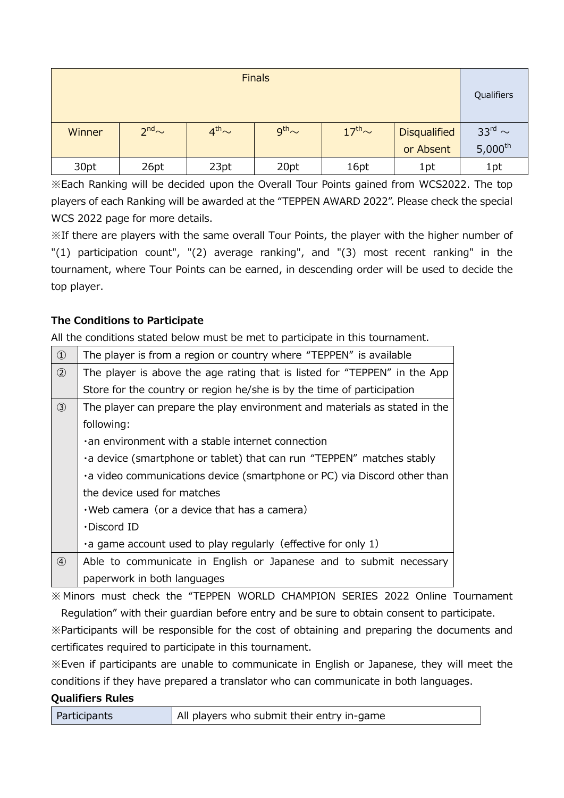| <b>Finals</b> |            |            | Qualifiers |             |                     |                         |
|---------------|------------|------------|------------|-------------|---------------------|-------------------------|
| Winner        | $2^{nd}$ ~ | $4^{th}$ ~ | $9^{th}$ ~ | $17^{th}$ ~ | <b>Disqualified</b> | 33 <sup>rd</sup> $\sim$ |
|               |            |            |            |             | or Absent           | $5,000^{th}$            |
| 30pt          | 26pt       | 23pt       | 20pt       | 16pt        | 1pt                 | 1pt                     |

※Each Ranking will be decided upon the Overall Tour Points gained from WCS2022. The top players of each Ranking will be awarded at the "TEPPEN AWARD 2022". Please check the special WCS 2022 page for more details.

※If there are players with the same overall Tour Points, the player with the higher number of "(1) participation count", "(2) average ranking", and "(3) most recent ranking" in the tournament, where Tour Points can be earned, in descending order will be used to decide the top player.

## **The Conditions to Participate**

All the conditions stated below must be met to participate in this tournament.

| $\circled{1}$ | The player is from a region or country where "TEPPEN" is available         |
|---------------|----------------------------------------------------------------------------|
| $\circled{2}$ | The player is above the age rating that is listed for "TEPPEN" in the App  |
|               | Store for the country or region he/she is by the time of participation     |
| $\circled{3}$ | The player can prepare the play environment and materials as stated in the |
|               | following:                                                                 |
|               | $\cdot$ an environment with a stable internet connection                   |
|               | a device (smartphone or tablet) that can run "TEPPEN" matches stably       |
|               | a video communications device (smartphone or PC) via Discord other than    |
|               | the device used for matches                                                |
|               | $\cdot$ Web camera (or a device that has a camera)                         |
|               | $\cdot$ Discord ID                                                         |
|               | a game account used to play regularly (effective for only 1)               |
| $\circled{4}$ | Able to communicate in English or Japanese and to submit necessary         |
|               | paperwork in both languages                                                |

※ Minors must check the "TEPPEN WORLD CHAMPION SERIES 2022 Online Tournament Regulation" with their guardian before entry and be sure to obtain consent to participate.

※Participants will be responsible for the cost of obtaining and preparing the documents and certificates required to participate in this tournament.

※Even if participants are unable to communicate in English or Japanese, they will meet the conditions if they have prepared a translator who can communicate in both languages.

## **Qualifiers Rules**

|  | <b>Participants</b> | All players who submit their entry in-game |
|--|---------------------|--------------------------------------------|
|--|---------------------|--------------------------------------------|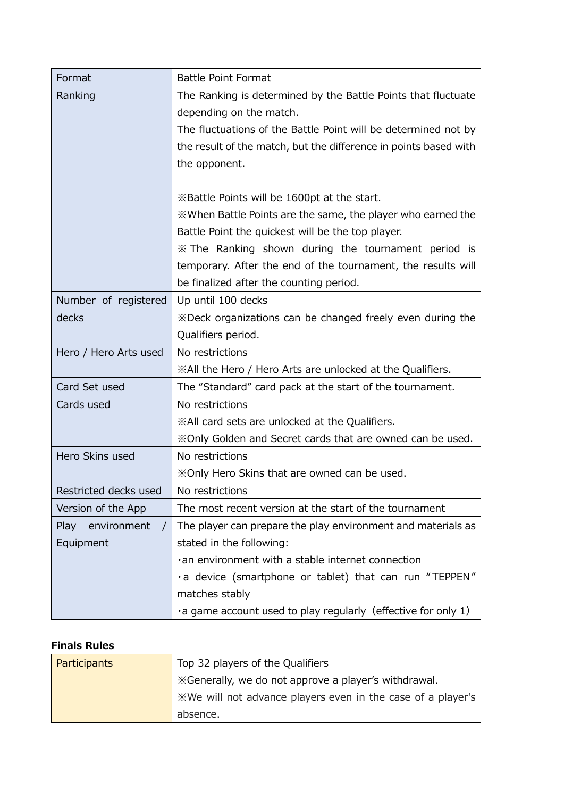| Format                | <b>Battle Point Format</b>                                       |  |
|-----------------------|------------------------------------------------------------------|--|
| Ranking               | The Ranking is determined by the Battle Points that fluctuate    |  |
|                       | depending on the match.                                          |  |
|                       | The fluctuations of the Battle Point will be determined not by   |  |
|                       | the result of the match, but the difference in points based with |  |
|                       | the opponent.                                                    |  |
|                       |                                                                  |  |
|                       | *Battle Points will be 1600pt at the start.                      |  |
|                       | X When Battle Points are the same, the player who earned the     |  |
|                       | Battle Point the quickest will be the top player.                |  |
|                       | X The Ranking shown during the tournament period is              |  |
|                       | temporary. After the end of the tournament, the results will     |  |
|                       | be finalized after the counting period.                          |  |
| Number of registered  | Up until 100 decks                                               |  |
| decks                 | X Deck organizations can be changed freely even during the       |  |
|                       | Qualifiers period.                                               |  |
| Hero / Hero Arts used | No restrictions                                                  |  |
|                       | XAII the Hero / Hero Arts are unlocked at the Qualifiers.        |  |
| Card Set used         | The "Standard" card pack at the start of the tournament.         |  |
| Cards used            | No restrictions                                                  |  |
|                       | ※All card sets are unlocked at the Qualifiers.                   |  |
|                       | X Only Golden and Secret cards that are owned can be used.       |  |
| Hero Skins used       | No restrictions                                                  |  |
|                       | XOnly Hero Skins that are owned can be used.                     |  |
| Restricted decks used | No restrictions                                                  |  |
| Version of the App    | The most recent version at the start of the tournament           |  |
| environment<br>Play   | The player can prepare the play environment and materials as     |  |
| Equipment             | stated in the following:                                         |  |
|                       | an environment with a stable internet connection                 |  |
|                       | a device (smartphone or tablet) that can run "TEPPEN"            |  |
|                       | matches stably                                                   |  |
|                       | a game account used to play regularly (effective for only 1)     |  |

## **Finals Rules**

| Participants | Top 32 players of the Qualifiers                             |
|--------------|--------------------------------------------------------------|
|              | * Generally, we do not approve a player's withdrawal.        |
|              | X We will not advance players even in the case of a player's |
|              | absence.                                                     |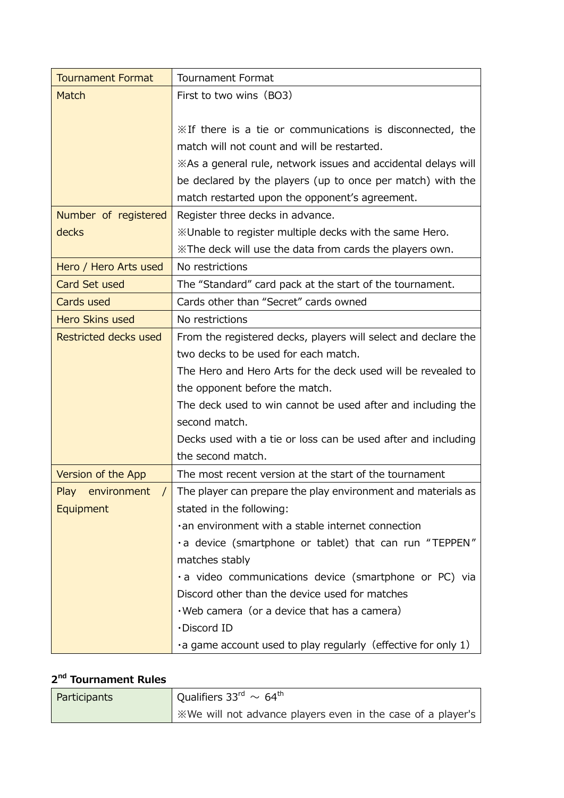| <b>Tournament Format</b>     | <b>Tournament Format</b>                                              |
|------------------------------|-----------------------------------------------------------------------|
| <b>Match</b>                 | First to two wins (BO3)                                               |
|                              |                                                                       |
|                              | $\mathbb{X}$ If there is a tie or communications is disconnected, the |
|                              | match will not count and will be restarted.                           |
|                              | XAs a general rule, network issues and accidental delays will         |
|                              | be declared by the players (up to once per match) with the            |
|                              | match restarted upon the opponent's agreement.                        |
| Number of registered         | Register three decks in advance.                                      |
| decks                        | X Unable to register multiple decks with the same Hero.               |
|                              | X The deck will use the data from cards the players own.              |
| Hero / Hero Arts used        | No restrictions                                                       |
| <b>Card Set used</b>         | The "Standard" card pack at the start of the tournament.              |
| Cards used                   | Cards other than "Secret" cards owned                                 |
| <b>Hero Skins used</b>       | No restrictions                                                       |
| <b>Restricted decks used</b> | From the registered decks, players will select and declare the        |
|                              | two decks to be used for each match.                                  |
|                              | The Hero and Hero Arts for the deck used will be revealed to          |
|                              | the opponent before the match.                                        |
|                              | The deck used to win cannot be used after and including the           |
|                              | second match.                                                         |
|                              | Decks used with a tie or loss can be used after and including         |
|                              | the second match.                                                     |
| Version of the App           | The most recent version at the start of the tournament                |
| Play environment /           | The player can prepare the play environment and materials as          |
| Equipment                    | stated in the following:                                              |
|                              | . an environment with a stable internet connection                    |
|                              | . a device (smartphone or tablet) that can run "TEPPEN"               |
|                              | matches stably                                                        |
|                              | · a video communications device (smartphone or PC) via                |
|                              | Discord other than the device used for matches                        |
|                              | $\cdot$ Web camera (or a device that has a camera)                    |
|                              | ·Discord ID                                                           |
|                              | a game account used to play regularly (effective for only 1)          |

## **2 nd Tournament Rules**

| <b>Participants</b> | Qualifiers 33 <sup>rd</sup> $\sim 64^{\text{th}}$            |
|---------------------|--------------------------------------------------------------|
|                     | ⊗ We will not advance players even in the case of a player's |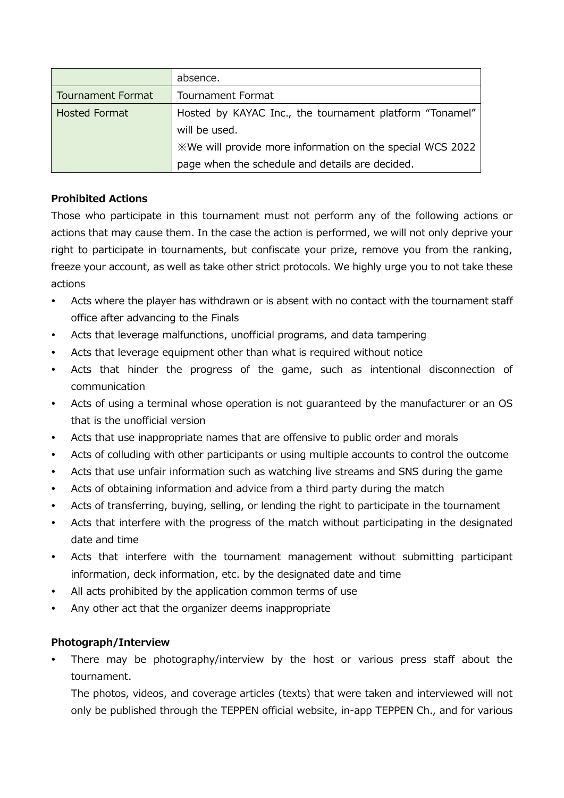|                          | absence.                                                 |
|--------------------------|----------------------------------------------------------|
| <b>Tournament Format</b> | <b>Tournament Format</b>                                 |
| <b>Hosted Format</b>     | Hosted by KAYAC Inc., the tournament platform "Tonamel"  |
|                          | will be used.                                            |
|                          | We will provide more information on the special WCS 2022 |
|                          | page when the schedule and details are decided.          |

## **Prohibited Actions**

Those who participate in this tournament must not perform any of the following actions or actions that may cause them. In the case the action is performed, we will not only deprive your right to participate in tournaments, but confiscate your prize, remove you from the ranking, freeze your account, as well as take other strict protocols. We highly urge you to not take these actions

- Acts where the player has withdrawn or is absent with no contact with the tournament staff office after advancing to the Finals
- Acts that leverage malfunctions, unofficial programs, and data tampering
- Acts that leverage equipment other than what is required without notice
- Acts that hinder the progress of the game, such as intentional disconnection of communication
- Acts of using a terminal whose operation is not guaranteed by the manufacturer or an OS that is the unofficial version
- Acts that use inappropriate names that are offensive to public order and morals
- Acts of colluding with other participants or using multiple accounts to control the outcome
- Acts that use unfair information such as watching live streams and SNS during the game
- Acts of obtaining information and advice from a third party during the match
- Acts of transferring, buying, selling, or lending the right to participate in the tournament
- Acts that interfere with the progress of the match without participating in the designated date and time
- Acts that interfere with the tournament management without submitting participant information, deck information, etc. by the designated date and time
- All acts prohibited by the application common terms of use
- Any other act that the organizer deems inappropriate

## **Photograph/Interview**

 There may be photography/interview by the host or various press staff about the tournament.

The photos, videos, and coverage articles (texts) that were taken and interviewed will not only be published through the TEPPEN official website, in-app TEPPEN Ch., and for various